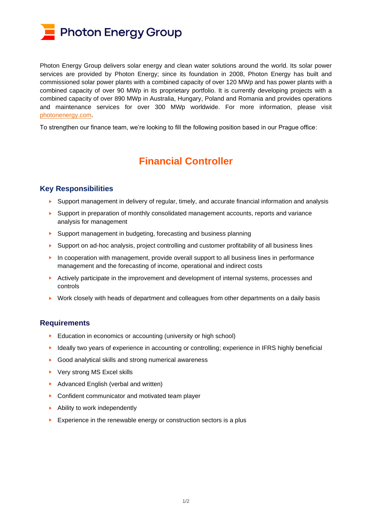

Photon Energy Group delivers solar energy and clean water solutions around the world. Its solar power services are provided by Photon Energy; since its foundation in 2008, Photon Energy has built and commissioned solar power plants with a combined capacity of over 120 MWp and has power plants with a combined capacity of over 90 MWp in its proprietary portfolio. It is currently developing projects with a combined capacity of over 890 MWp in Australia, Hungary, Poland and Romania and provides operations and maintenance services for over 300 MWp worldwide. For more information, please visit [photonenergy.com.](https://www.photonenergy.com/)

To strengthen our finance team, we're looking to fill the following position based in our Prague office:

## **Financial Controller**

## **Key Responsibilities**

- ► Support management in delivery of regular, timely, and accurate financial information and analysis
- ► Support in preparation of monthly consolidated management accounts, reports and variance analysis for management
- ► Support management in budgeting, forecasting and business planning
- ► Support on ad-hoc analysis, project controlling and customer profitability of all business lines
- ► In cooperation with management, provide overall support to all business lines in performance management and the forecasting of income, operational and indirect costs
- ► Actively participate in the improvement and development of internal systems, processes and controls
- ► Work closely with heads of department and colleagues from other departments on a daily basis

## **Requirements**

- ► Education in economics or accounting (university or high school)
- ► Ideally two years of experience in accounting or controlling; experience in IFRS highly beneficial
- ► Good analytical skills and strong numerical awareness
- ► Very strong MS Excel skills
- ► Advanced English (verbal and written)
- ► Confident communicator and motivated team player
- ► Ability to work independently
- ► Experience in the renewable energy or construction sectors is a plus